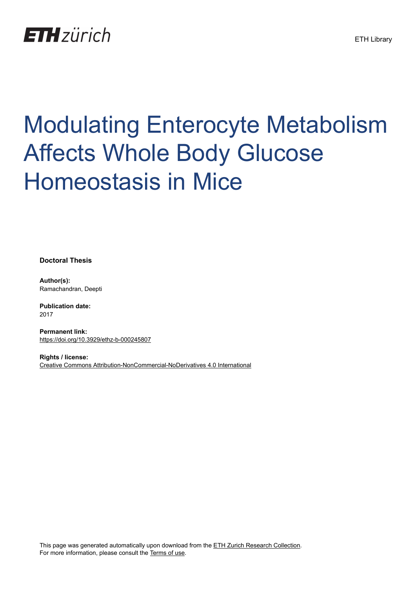

# Modulating Enterocyte Metabolism Affects Whole Body Glucose Homeostasis in Mice

**Doctoral Thesis**

**Author(s):** Ramachandran, Deepti

**Publication date:** 2017

**Permanent link:** <https://doi.org/10.3929/ethz-b-000245807>

**Rights / license:** [Creative Commons Attribution-NonCommercial-NoDerivatives 4.0 International](http://creativecommons.org/licenses/by-nc-nd/4.0/)

This page was generated automatically upon download from the [ETH Zurich Research Collection.](https://www.research-collection.ethz.ch) For more information, please consult the [Terms of use](https://www.research-collection.ethz.ch/terms-of-use).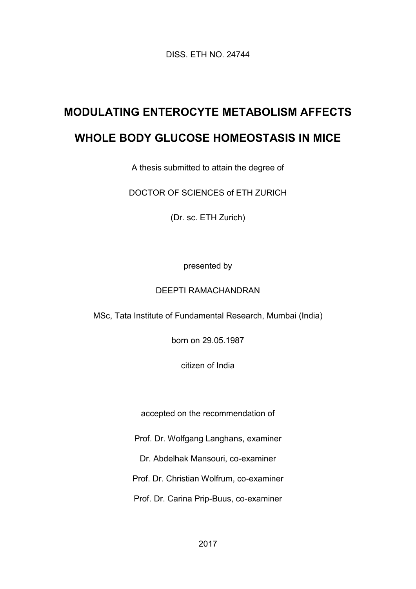DISS. ETH NO. 24744

## **MODULATING ENTEROCYTE METABOLISM AFFECTS**

### **WHOLE BODY GLUCOSE HOMEOSTASIS IN MICE**

A thesis submitted to attain the degree of

DOCTOR OF SCIENCES of ETH ZURICH

(Dr. sc. ETH Zurich)

presented by

#### DEEPTI RAMACHANDRAN

MSc, Tata Institute of Fundamental Research, Mumbai (India)

born on 29.05.1987

citizen of India

accepted on the recommendation of

Prof. Dr. Wolfgang Langhans, examiner

Dr. Abdelhak Mansouri, co-examiner

Prof. Dr. Christian Wolfrum, co-examiner

Prof. Dr. Carina Prip-Buus, co-examiner

2017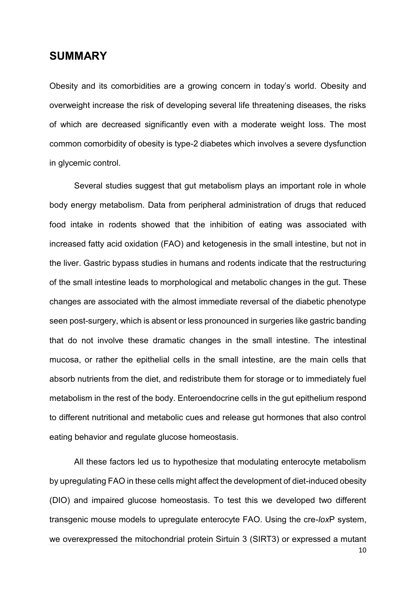#### **SUMMARY**

Obesity and its comorbidities are a growing concern in today's world. Obesity and overweight increase the risk of developing several life threatening diseases, the risks of which are decreased significantly even with a moderate weight loss. The most common comorbidity of obesity is type-2 diabetes which involves a severe dysfunction in glycemic control.

Several studies suggest that gut metabolism plays an important role in whole body energy metabolism. Data from peripheral administration of drugs that reduced food intake in rodents showed that the inhibition of eating was associated with increased fatty acid oxidation (FAO) and ketogenesis in the small intestine, but not in the liver. Gastric bypass studies in humans and rodents indicate that the restructuring of the small intestine leads to morphological and metabolic changes in the gut. These changes are associated with the almost immediate reversal of the diabetic phenotype seen post-surgery, which is absent or less pronounced in surgeries like gastric banding that do not involve these dramatic changes in the small intestine. The intestinal mucosa, or rather the epithelial cells in the small intestine, are the main cells that absorb nutrients from the diet, and redistribute them for storage or to immediately fuel metabolism in the rest of the body. Enteroendocrine cells in the gut epithelium respond to different nutritional and metabolic cues and release gut hormones that also control eating behavior and regulate glucose homeostasis.

All these factors led us to hypothesize that modulating enterocyte metabolism by upregulating FAO in these cells might affect the development of diet-induced obesity (DIO) and impaired glucose homeostasis. To test this we developed two different transgenic mouse models to upregulate enterocyte FAO. Using the cre-*lox*P system, we overexpressed the mitochondrial protein Sirtuin 3 (SIRT3) or expressed a mutant

10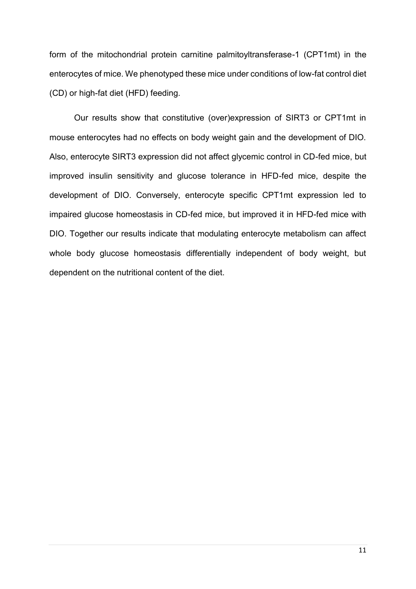form of the mitochondrial protein carnitine palmitoyltransferase-1 (CPT1mt) in the enterocytes of mice. We phenotyped these mice under conditions of low-fat control diet (CD) or high-fat diet (HFD) feeding.

Our results show that constitutive (over)expression of SIRT3 or CPT1mt in mouse enterocytes had no effects on body weight gain and the development of DIO. Also, enterocyte SIRT3 expression did not affect glycemic control in CD-fed mice, but improved insulin sensitivity and glucose tolerance in HFD-fed mice, despite the development of DIO. Conversely, enterocyte specific CPT1mt expression led to impaired glucose homeostasis in CD-fed mice, but improved it in HFD-fed mice with DIO. Together our results indicate that modulating enterocyte metabolism can affect whole body glucose homeostasis differentially independent of body weight, but dependent on the nutritional content of the diet.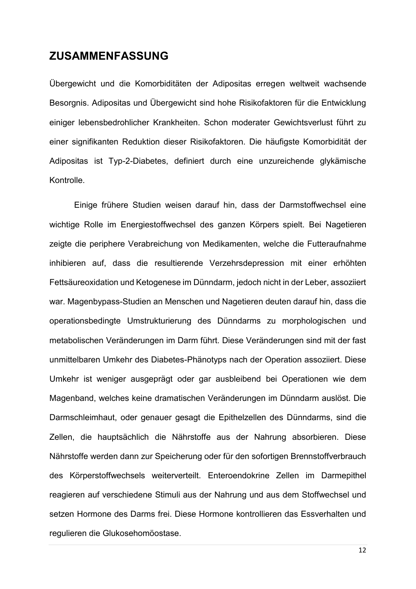#### **ZUSAMMENFASSUNG**

Übergewicht und die Komorbiditäten der Adipositas erregen weltweit wachsende Besorgnis. Adipositas und Übergewicht sind hohe Risikofaktoren für die Entwicklung einiger lebensbedrohlicher Krankheiten. Schon moderater Gewichtsverlust führt zu einer signifikanten Reduktion dieser Risikofaktoren. Die häufigste Komorbidität der Adipositas ist Typ-2-Diabetes, definiert durch eine unzureichende glykämische Kontrolle.

Einige frühere Studien weisen darauf hin, dass der Darmstoffwechsel eine wichtige Rolle im Energiestoffwechsel des ganzen Körpers spielt. Bei Nagetieren zeigte die periphere Verabreichung von Medikamenten, welche die Futteraufnahme inhibieren auf, dass die resultierende Verzehrsdepression mit einer erhöhten Fettsäureoxidation und Ketogenese im Dünndarm, jedoch nicht in der Leber, assoziiert war. Magenbypass-Studien an Menschen und Nagetieren deuten darauf hin, dass die operationsbedingte Umstrukturierung des Dünndarms zu morphologischen und metabolischen Veränderungen im Darm führt. Diese Veränderungen sind mit der fast unmittelbaren Umkehr des Diabetes-Phänotyps nach der Operation assoziiert. Diese Umkehr ist weniger ausgeprägt oder gar ausbleibend bei Operationen wie dem Magenband, welches keine dramatischen Veränderungen im Dünndarm auslöst. Die Darmschleimhaut, oder genauer gesagt die Epithelzellen des Dünndarms, sind die Zellen, die hauptsächlich die Nährstoffe aus der Nahrung absorbieren. Diese Nährstoffe werden dann zur Speicherung oder für den sofortigen Brennstoffverbrauch des Körperstoffwechsels weiterverteilt. Enteroendokrine Zellen im Darmepithel reagieren auf verschiedene Stimuli aus der Nahrung und aus dem Stoffwechsel und setzen Hormone des Darms frei. Diese Hormone kontrollieren das Essverhalten und regulieren die Glukosehomöostase.